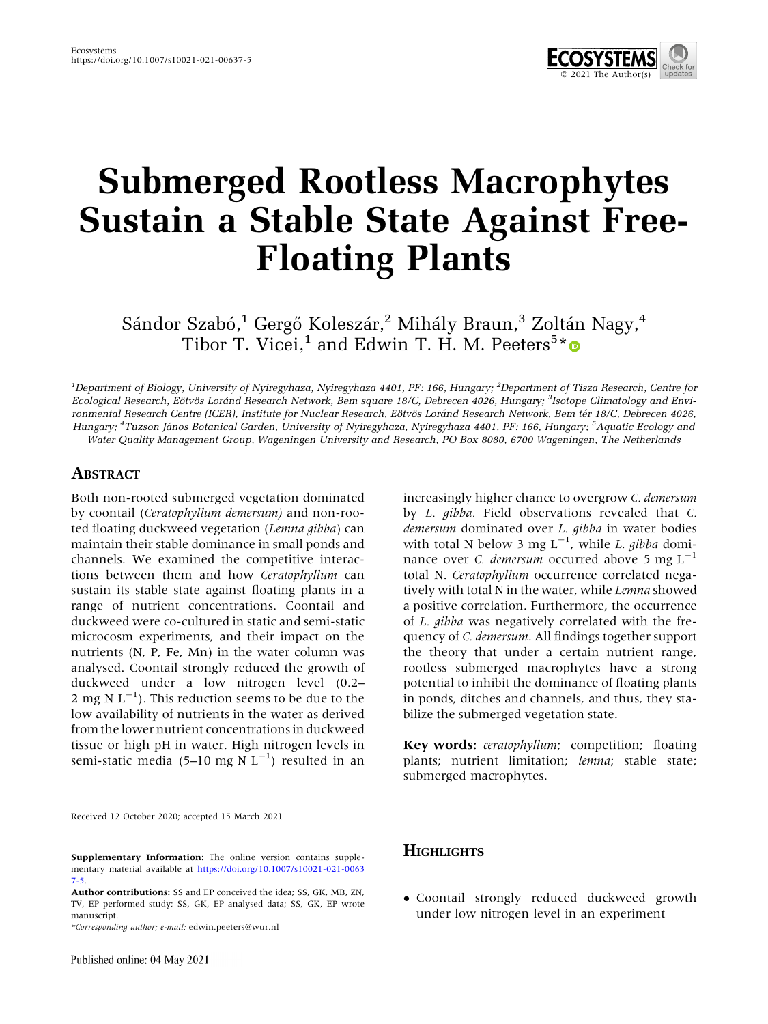

# Submerged Rootless Macrophytes Sustain a Stable State Against Free-Floating Plants

Sándor Szabó,<sup>1</sup> Gergő Koleszár,<sup>2</sup> Mihály Braun,<sup>3</sup> Zoltán Nagy,<sup>4</sup> Tibor T. Vicei,<sup>1</sup> and Edwin T. H. M. Peeters<sup>5</sup>[\\*](http://orcid.org/0000-0003-2541-1829)

<sup>1</sup>Department of Biology, University of Nyiregyhaza, Nyiregyhaza 4401, PF: 166, Hungary; <sup>2</sup>Department of Tisza Research, Centre for Ecological Research, Eötvös Loránd Research Network, Bem square 18/C, Debrecen 4026, Hungary; <sup>3</sup>Isotope Climatology and Environmental Research Centre (ICER), Institute for Nuclear Research, Eötvös Loránd Research Network, Bem tér 18/C, Debrecen 4026, Hungary; <sup>4</sup>Tuzson János Botanical Garden, University of Nyiregyhaza, Nyiregyhaza 4401, PF: 166, Hungary; <sup>5</sup>Aquatic Ecology and Water Quality Management Group, Wageningen University and Research, PO Box 8080, 6700 Wageningen, The Netherlands

## ABSTRACT

Both non-rooted submerged vegetation dominated by coontail (Ceratophyllum demersum) and non-rooted floating duckweed vegetation (Lemna gibba) can maintain their stable dominance in small ponds and channels. We examined the competitive interactions between them and how Ceratophyllum can sustain its stable state against floating plants in a range of nutrient concentrations. Coontail and duckweed were co-cultured in static and semi-static microcosm experiments, and their impact on the nutrients (N, P, Fe, Mn) in the water column was analysed. Coontail strongly reduced the growth of duckweed under a low nitrogen level (0.2– 2 mg N  $L^{-1}$ ). This reduction seems to be due to the low availability of nutrients in the water as derived from the lower nutrient concentrations in duckweed tissue or high pH in water. High nitrogen levels in semi-static media (5-10 mg N  $L^{-1}$ ) resulted in an

Received 12 October 2020; accepted 15 March 2021

\*Corresponding author; e-mail: edwin.peeters@wur.nl

increasingly higher chance to overgrow C. demersum by L. gibba. Field observations revealed that C. demersum dominated over L. gibba in water bodies with total N below 3 mg  $L^{-1}$ , while L. gibba dominance over *C. demersum* occurred above 5 mg  $L^{-1}$ total N. Ceratophyllum occurrence correlated negatively with total N in the water, while Lemna showed a positive correlation. Furthermore, the occurrence of L. gibba was negatively correlated with the frequency of C. demersum. All findings together support the theory that under a certain nutrient range, rootless submerged macrophytes have a strong potential to inhibit the dominance of floating plants in ponds, ditches and channels, and thus, they stabilize the submerged vegetation state.

Key words: ceratophyllum; competition; floating plants; nutrient limitation; lemna; stable state; submerged macrophytes.

## **HIGHLIGHTS**

- Coontail strongly reduced duckweed growth under low nitrogen level in an experiment

Supplementary Information: The online version contains supplementary material available at [https://doi.org/10.1007/s10021-021-0063](https://doi.org/10.1007/s10021-021-00637-5) [7-5](https://doi.org/10.1007/s10021-021-00637-5).

Author contributions: SS and EP conceived the idea; SS, GK, MB, ZN, TV, EP performed study; SS, GK, EP analysed data; SS, GK, EP wrote manuscript.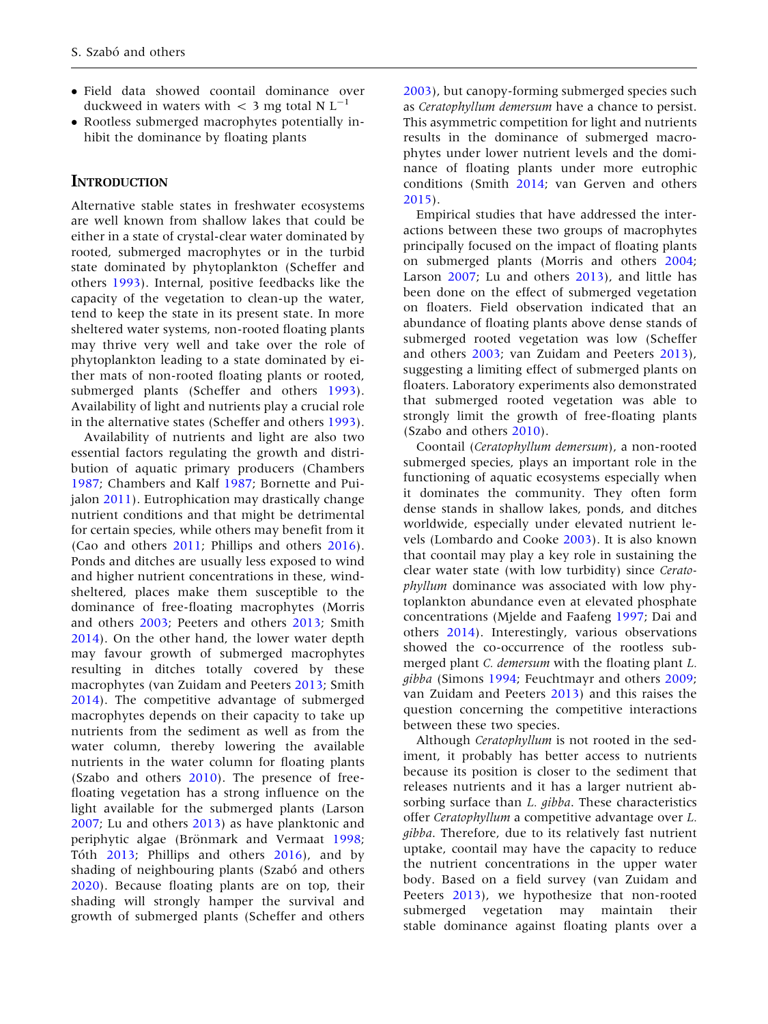- Field data showed coontail dominance over duckweed in waters with  $<$  3 mg total N L<sup>-1</sup>
- Rootless submerged macrophytes potentially inhibit the dominance by floating plants

## **INTRODUCTION**

Alternative stable states in freshwater ecosystems are well known from shallow lakes that could be either in a state of crystal-clear water dominated by rooted, submerged macrophytes or in the turbid state dominated by phytoplankton (Scheffer and others [1993\)](#page-12-0). Internal, positive feedbacks like the capacity of the vegetation to clean-up the water, tend to keep the state in its present state. In more sheltered water systems, non-rooted floating plants may thrive very well and take over the role of phytoplankton leading to a state dominated by either mats of non-rooted floating plants or rooted, submerged plants (Scheffer and others [1993](#page-12-0)). Availability of light and nutrients play a crucial role in the alternative states (Scheffer and others [1993](#page-12-0)).

Availability of nutrients and light are also two essential factors regulating the growth and distribution of aquatic primary producers (Chambers [1987;](#page-11-0) Chambers and Kalf [1987](#page-11-0); Bornette and Puijalon [2011\)](#page-11-0). Eutrophication may drastically change nutrient conditions and that might be detrimental for certain species, while others may benefit from it (Cao and others [2011;](#page-11-0) Phillips and others [2016](#page-11-0)). Ponds and ditches are usually less exposed to wind and higher nutrient concentrations in these, windsheltered, places make them susceptible to the dominance of free-floating macrophytes (Morris and others [2003](#page-11-0); Peeters and others [2013](#page-11-0); Smith [2014\)](#page-12-0). On the other hand, the lower water depth may favour growth of submerged macrophytes resulting in ditches totally covered by these macrophytes (van Zuidam and Peeters [2013;](#page-12-0) Smith [2014\)](#page-12-0). The competitive advantage of submerged macrophytes depends on their capacity to take up nutrients from the sediment as well as from the water column, thereby lowering the available nutrients in the water column for floating plants (Szabo and others [2010\)](#page-12-0). The presence of freefloating vegetation has a strong influence on the light available for the submerged plants (Larson [2007;](#page-11-0) Lu and others [2013\)](#page-11-0) as have planktonic and periphytic algae (Brönmark and Vermaat [1998](#page-11-0); Tóth [2013](#page-12-0); Phillips and others [2016\)](#page-11-0), and by shading of neighbouring plants (Szabó and others [2020\)](#page-12-0). Because floating plants are on top, their shading will strongly hamper the survival and growth of submerged plants (Scheffer and others

[2003\)](#page-12-0), but canopy-forming submerged species such as Ceratophyllum demersum have a chance to persist. This asymmetric competition for light and nutrients results in the dominance of submerged macrophytes under lower nutrient levels and the dominance of floating plants under more eutrophic conditions (Smith [2014](#page-12-0); van Gerven and others [2015\)](#page-12-0).

Empirical studies that have addressed the interactions between these two groups of macrophytes principally focused on the impact of floating plants on submerged plants (Morris and others [2004](#page-11-0); Larson [2007](#page-11-0); Lu and others [2013](#page-11-0)), and little has been done on the effect of submerged vegetation on floaters. Field observation indicated that an abundance of floating plants above dense stands of submerged rooted vegetation was low (Scheffer and others [2003](#page-12-0); van Zuidam and Peeters [2013](#page-12-0)), suggesting a limiting effect of submerged plants on floaters. Laboratory experiments also demonstrated that submerged rooted vegetation was able to strongly limit the growth of free-floating plants (Szabo and others [2010\)](#page-12-0).

Coontail (Ceratophyllum demersum), a non-rooted submerged species, plays an important role in the functioning of aquatic ecosystems especially when it dominates the community. They often form dense stands in shallow lakes, ponds, and ditches worldwide, especially under elevated nutrient levels (Lombardo and Cooke [2003\)](#page-11-0). It is also known that coontail may play a key role in sustaining the clear water state (with low turbidity) since Ceratophyllum dominance was associated with low phytoplankton abundance even at elevated phosphate concentrations (Mjelde and Faafeng [1997](#page-11-0); Dai and others [2014\)](#page-11-0). Interestingly, various observations showed the co-occurrence of the rootless submerged plant *C. demersum* with the floating plant *L*. gibba (Simons [1994;](#page-12-0) Feuchtmayr and others [2009](#page-11-0); van Zuidam and Peeters [2013](#page-12-0)) and this raises the question concerning the competitive interactions between these two species.

Although Ceratophyllum is not rooted in the sediment, it probably has better access to nutrients because its position is closer to the sediment that releases nutrients and it has a larger nutrient absorbing surface than *L. gibba*. These characteristics offer Ceratophyllum a competitive advantage over L. gibba. Therefore, due to its relatively fast nutrient uptake, coontail may have the capacity to reduce the nutrient concentrations in the upper water body. Based on a field survey (van Zuidam and Peeters [2013](#page-12-0)), we hypothesize that non-rooted submerged vegetation may maintain their stable dominance against floating plants over a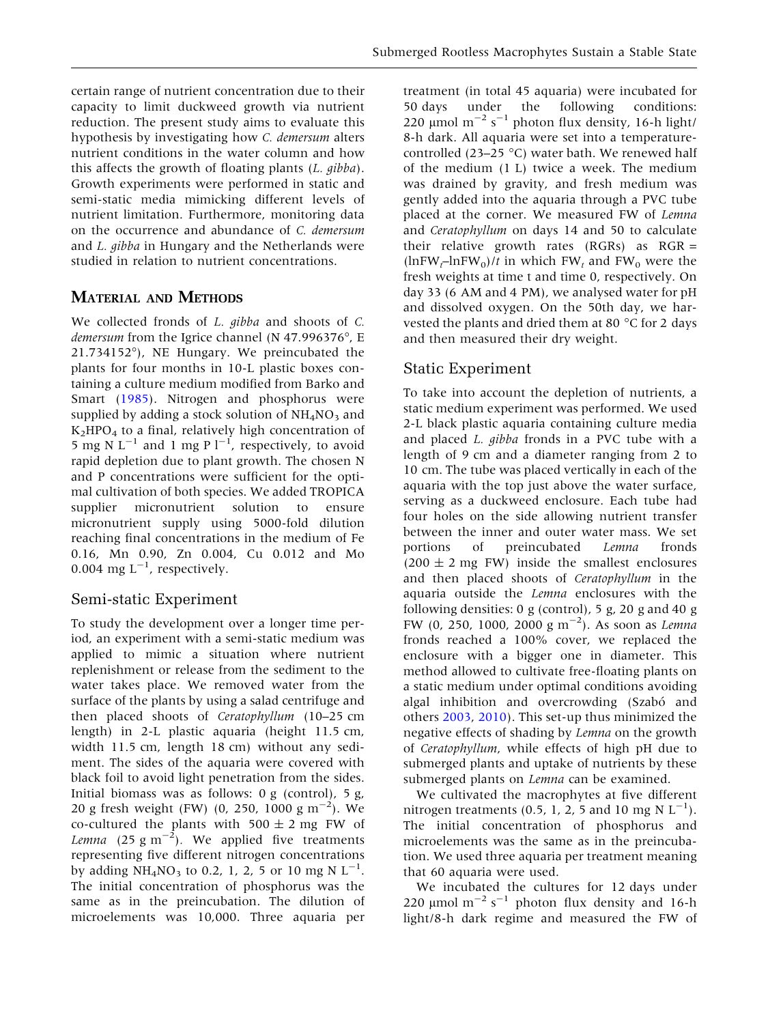certain range of nutrient concentration due to their capacity to limit duckweed growth via nutrient reduction. The present study aims to evaluate this hypothesis by investigating how C. demersum alters nutrient conditions in the water column and how this affects the growth of floating plants (L. gibba). Growth experiments were performed in static and semi-static media mimicking different levels of nutrient limitation. Furthermore, monitoring data on the occurrence and abundance of C. demersum and L. gibba in Hungary and the Netherlands were studied in relation to nutrient concentrations.

## MATERIAL AND METHODS

We collected fronds of *L. gibba* and shoots of *C. demersum* from the Igrice channel (N 47.996376 $^{\circ}$ , E 21.734152), NE Hungary. We preincubated the plants for four months in 10-L plastic boxes containing a culture medium modified from Barko and Smart [\(1985](#page-11-0)). Nitrogen and phosphorus were supplied by adding a stock solution of  $NH<sub>4</sub>NO<sub>3</sub>$  and  $K<sub>2</sub>HPO<sub>4</sub>$  to a final, relatively high concentration of 5 mg N  $L^{-1}$  and 1 mg P  $l^{-1}$ , respectively, to avoid rapid depletion due to plant growth. The chosen N and P concentrations were sufficient for the optimal cultivation of both species. We added TROPICA supplier micronutrient solution to ensure micronutrient supply using 5000-fold dilution reaching final concentrations in the medium of Fe 0.16, Mn 0.90, Zn 0.004, Cu 0.012 and Mo 0.004 mg  $L^{-1}$ , respectively.

## Semi-static Experiment

To study the development over a longer time period, an experiment with a semi-static medium was applied to mimic a situation where nutrient replenishment or release from the sediment to the water takes place. We removed water from the surface of the plants by using a salad centrifuge and then placed shoots of Ceratophyllum (10–25 cm length) in 2-L plastic aquaria (height 11.5 cm, width 11.5 cm, length 18 cm) without any sediment. The sides of the aquaria were covered with black foil to avoid light penetration from the sides. Initial biomass was as follows: 0 g (control), 5 g, 20 g fresh weight (FW) (0, 250, 1000 g m<sup>-2</sup>). We co-cultured the plants with  $500 \pm 2$  mg FW of *Lemna* (25 g m<sup> $-2$ </sup>). We applied five treatments representing five different nitrogen concentrations by adding  $NH_4NO_3$  to 0.2, 1, 2, 5 or 10 mg N L<sup>-1</sup>. The initial concentration of phosphorus was the same as in the preincubation. The dilution of microelements was 10,000. Three aquaria per

treatment (in total 45 aquaria) were incubated for 50 days under the following conditions: 220  $\mu$ mol m<sup>-2</sup> s<sup>-1</sup> photon flux density, 16-h light/ 8-h dark. All aquaria were set into a temperaturecontrolled (23–25 °C) water bath. We renewed half of the medium (1 L) twice a week. The medium was drained by gravity, and fresh medium was gently added into the aquaria through a PVC tube placed at the corner. We measured FW of Lemna and Ceratophyllum on days 14 and 50 to calculate their relative growth rates  $(RGRs)$  as  $RGR =$  $(\ln F W_t - \ln F W_0)/t$  in which  $FW_t$  and  $FW_0$  were the fresh weights at time t and time 0, respectively. On day 33 (6 AM and 4 PM), we analysed water for pH and dissolved oxygen. On the 50th day, we harvested the plants and dried them at 80  $^{\circ}$ C for 2 days and then measured their dry weight.

## Static Experiment

To take into account the depletion of nutrients, a static medium experiment was performed. We used 2-L black plastic aquaria containing culture media and placed L. gibba fronds in a PVC tube with a length of 9 cm and a diameter ranging from 2 to 10 cm. The tube was placed vertically in each of the aquaria with the top just above the water surface, serving as a duckweed enclosure. Each tube had four holes on the side allowing nutrient transfer between the inner and outer water mass. We set portions of preincubated Lemna fronds  $(200 \pm 2 \text{ mg FW})$  inside the smallest enclosures and then placed shoots of Ceratophyllum in the aquaria outside the Lemna enclosures with the following densities: 0 g (control), 5 g, 20 g and 40 g FW (0, 250, 1000, 2000  $\rm{g}~\rm{m}^{-2}$ ). As soon as Lemna fronds reached a 100% cover, we replaced the enclosure with a bigger one in diameter. This method allowed to cultivate free-floating plants on a static medium under optimal conditions avoiding algal inhibition and overcrowding (Szabó and others [2003](#page-12-0), [2010\)](#page-12-0). This set-up thus minimized the negative effects of shading by Lemna on the growth of Ceratophyllum, while effects of high pH due to submerged plants and uptake of nutrients by these submerged plants on *Lemna* can be examined.

We cultivated the macrophytes at five different nitrogen treatments (0.5, 1, 2, 5 and 10 mg N  $L^{-1}$ ). The initial concentration of phosphorus and microelements was the same as in the preincubation. We used three aquaria per treatment meaning that 60 aquaria were used.

We incubated the cultures for 12 days under 220  $\mu$ mol m<sup>-2</sup> s<sup>-1</sup> photon flux density and 16-h light/8-h dark regime and measured the FW of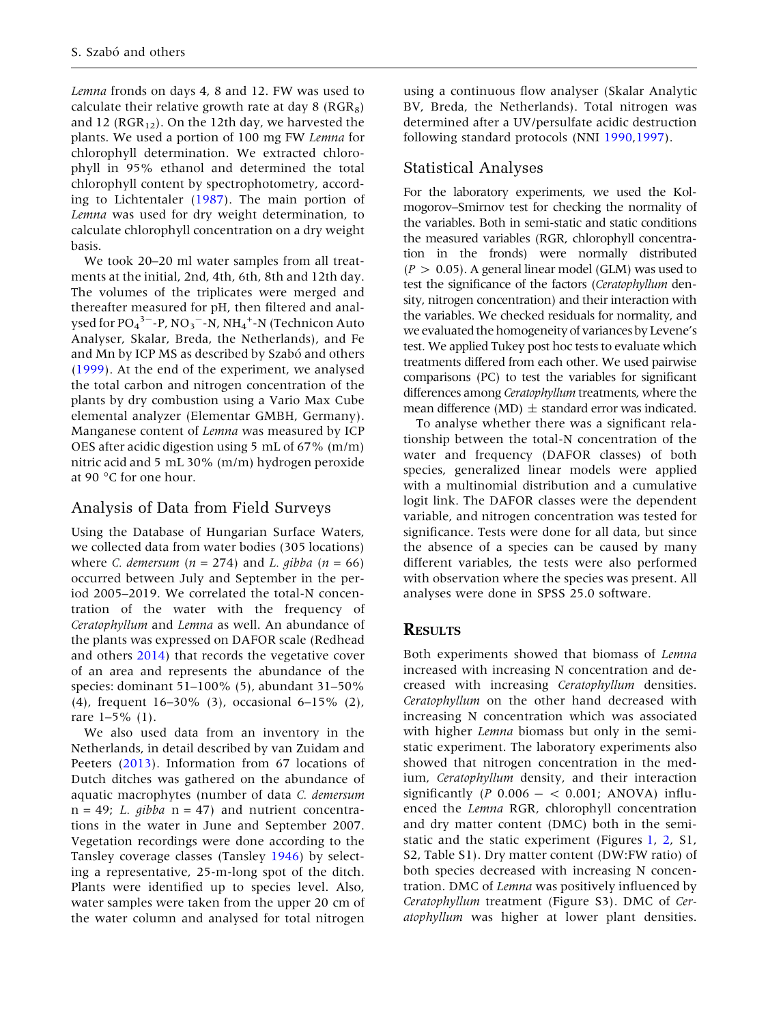Lemna fronds on days 4, 8 and 12. FW was used to calculate their relative growth rate at day  $8$  (RGR<sub>8</sub>) and 12 ( $RGR_{12}$ ). On the 12th day, we harvested the plants. We used a portion of 100 mg FW Lemna for chlorophyll determination. We extracted chlorophyll in 95% ethanol and determined the total chlorophyll content by spectrophotometry, according to Lichtentaler [\(1987](#page-11-0)). The main portion of Lemna was used for dry weight determination, to calculate chlorophyll concentration on a dry weight basis.

We took 20–20 ml water samples from all treatments at the initial, 2nd, 4th, 6th, 8th and 12th day. The volumes of the triplicates were merged and thereafter measured for pH, then filtered and analysed for PO $_4$ <sup>3–</sup>-P, NO<sub>3</sub><sup>–</sup>-N, NH<sub>4</sub><sup>+</sup>-N (Technicon Auto Analyser, Skalar, Breda, the Netherlands), and Fe and Mn by ICP MS as described by Szabó and others ([1999\)](#page-12-0). At the end of the experiment, we analysed the total carbon and nitrogen concentration of the plants by dry combustion using a Vario Max Cube elemental analyzer (Elementar GMBH, Germany). Manganese content of Lemna was measured by ICP OES after acidic digestion using 5 mL of 67% (m/m) nitric acid and 5 mL 30% (m/m) hydrogen peroxide at 90 °C for one hour.

# Analysis of Data from Field Surveys

Using the Database of Hungarian Surface Waters, we collected data from water bodies (305 locations) where *C. demersum* ( $n = 274$ ) and *L. gibba* ( $n = 66$ ) occurred between July and September in the period 2005–2019. We correlated the total-N concentration of the water with the frequency of Ceratophyllum and Lemna as well. An abundance of the plants was expressed on DAFOR scale (Redhead and others [2014\)](#page-12-0) that records the vegetative cover of an area and represents the abundance of the species: dominant 51–100% (5), abundant 31–50% (4), frequent 16–30% (3), occasional 6–15% (2), rare 1–5% (1).

We also used data from an inventory in the Netherlands, in detail described by van Zuidam and Peeters [\(2013](#page-12-0)). Information from 67 locations of Dutch ditches was gathered on the abundance of aquatic macrophytes (number of data C. demersum  $n = 49$ ; L. gibba  $n = 47$ ) and nutrient concentrations in the water in June and September 2007. Vegetation recordings were done according to the Tansley coverage classes (Tansley [1946](#page-12-0)) by selecting a representative, 25-m-long spot of the ditch. Plants were identified up to species level. Also, water samples were taken from the upper 20 cm of the water column and analysed for total nitrogen

using a continuous flow analyser (Skalar Analytic BV, Breda, the Netherlands). Total nitrogen was determined after a UV/persulfate acidic destruction following standard protocols (NNI [1990](#page-11-0),[1997\)](#page-11-0).

# Statistical Analyses

For the laboratory experiments, we used the Kolmogorov–Smirnov test for checking the normality of the variables. Both in semi-static and static conditions the measured variables (RGR, chlorophyll concentration in the fronds) were normally distributed  $(P > 0.05)$ . A general linear model (GLM) was used to test the significance of the factors (Ceratophyllum density, nitrogen concentration) and their interaction with the variables. We checked residuals for normality, and we evaluated the homogeneity of variances by Levene's test. We applied Tukey post hoc tests to evaluate which treatments differed from each other. We used pairwise comparisons (PC) to test the variables for significant differences among Ceratophyllum treatments, where the mean difference (MD)  $\pm$  standard error was indicated.

To analyse whether there was a significant relationship between the total-N concentration of the water and frequency (DAFOR classes) of both species, generalized linear models were applied with a multinomial distribution and a cumulative logit link. The DAFOR classes were the dependent variable, and nitrogen concentration was tested for significance. Tests were done for all data, but since the absence of a species can be caused by many different variables, the tests were also performed with observation where the species was present. All analyses were done in SPSS 25.0 software.

# **RESULTS**

Both experiments showed that biomass of Lemna increased with increasing N concentration and decreased with increasing Ceratophyllum densities. Ceratophyllum on the other hand decreased with increasing N concentration which was associated with higher *Lemna* biomass but only in the semistatic experiment. The laboratory experiments also showed that nitrogen concentration in the medium, Ceratophyllum density, and their interaction significantly  $(P 0.006 - < 0.001$ ; ANOVA) influenced the Lemna RGR, chlorophyll concentration and dry matter content (DMC) both in the semistatic and the static experiment (Figures [1,](#page-4-0) [2](#page-4-0), S1, S2, Table S1). Dry matter content (DW:FW ratio) of both species decreased with increasing N concentration. DMC of Lemna was positively influenced by Ceratophyllum treatment (Figure S3). DMC of Ceratophyllum was higher at lower plant densities.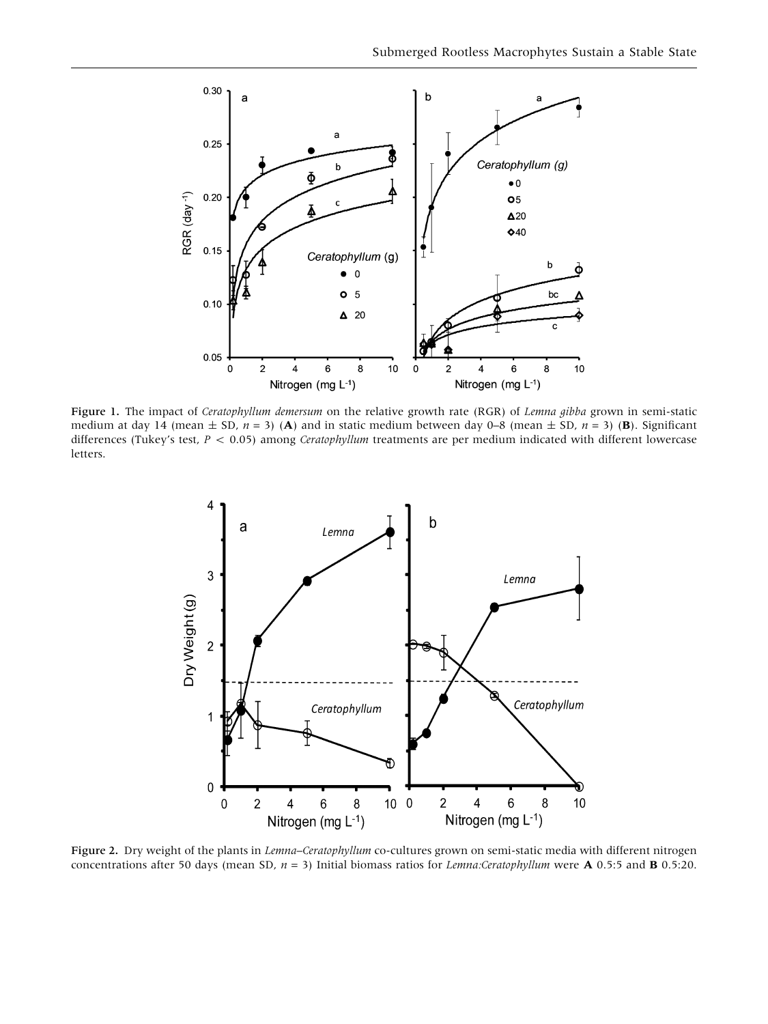<span id="page-4-0"></span>

Figure 1. The impact of Ceratophyllum demersum on the relative growth rate (RGR) of Lemna gibba grown in semi-static medium at day 14 (mean  $\pm$  SD,  $n = 3$ ) (A) and in static medium between day 0–8 (mean  $\pm$  SD,  $n = 3$ ) (B). Significant differences (Tukey's test,  $P < 0.05$ ) among *Ceratophyllum* treatments are per medium indicated with different lowercase letters.



Figure 2. Dry weight of the plants in Lemna-Ceratophyllum co-cultures grown on semi-static media with different nitrogen concentrations after 50 days (mean SD,  $n = 3$ ) Initial biomass ratios for Lemna:Ceratophyllum were **A** 0.5:5 and **B** 0.5:20.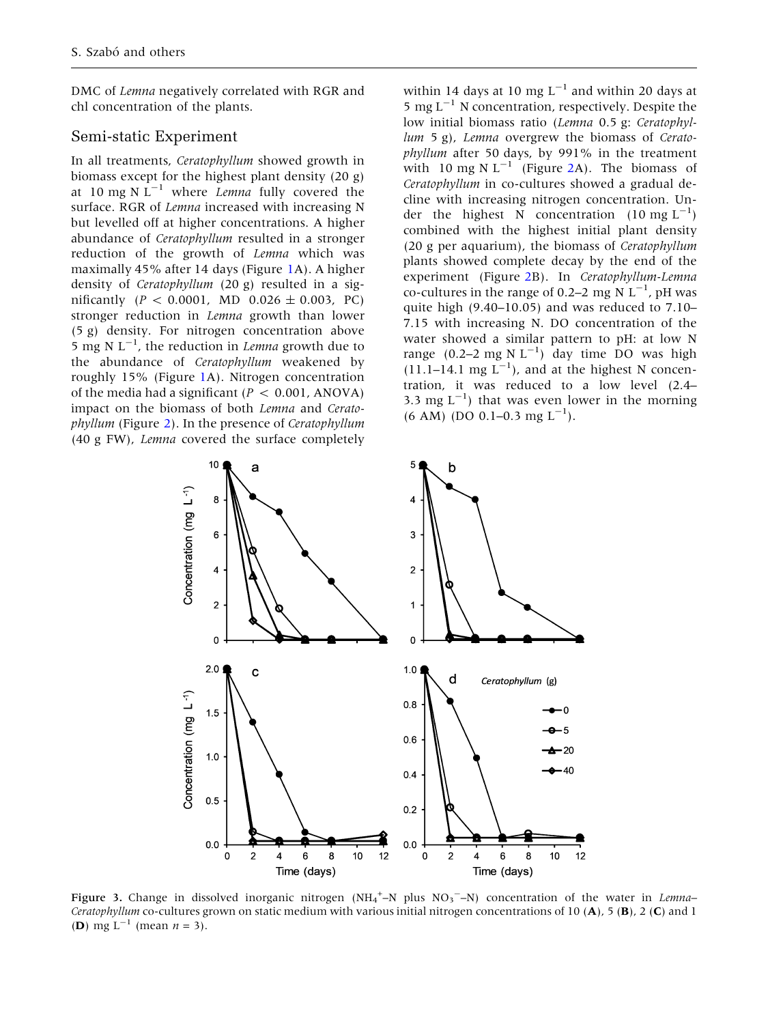<span id="page-5-0"></span>DMC of Lemna negatively correlated with RGR and chl concentration of the plants.

## Semi-static Experiment

In all treatments, Ceratophyllum showed growth in biomass except for the highest plant density (20 g) at 10 mg N  $L^{-1}$  where *Lemna* fully covered the surface. RGR of Lemna increased with increasing N but levelled off at higher concentrations. A higher abundance of Ceratophyllum resulted in a stronger reduction of the growth of Lemna which was maximally 45% after 14 days (Figure [1A](#page-4-0)). A higher density of Ceratophyllum (20 g) resulted in a significantly ( $P < 0.0001$ , MD  $0.026 \pm 0.003$ , PC) stronger reduction in Lemna growth than lower (5 g) density. For nitrogen concentration above 5 mg N  $L^{-1}$ , the reduction in *Lemna* growth due to the abundance of Ceratophyllum weakened by roughly 15% (Figure [1A](#page-4-0)). Nitrogen concentration of the media had a significant  $(P < 0.001$ , ANOVA) impact on the biomass of both Lemna and Ceratophyllum (Figure [2](#page-4-0)). In the presence of Ceratophyllum (40 g FW), Lemna covered the surface completely

within 14 days at 10 mg  $L^{-1}$  and within 20 days at 5 mg  $L^{-1}$  N concentration, respectively. Despite the low initial biomass ratio (Lemna 0.5 g: Ceratophyllum 5 g), Lemna overgrew the biomass of Ceratophyllum after 50 days, by 991% in the treatment with 10 mg N  $L^{-1}$  (Figure [2](#page-4-0)A). The biomass of Ceratophyllum in co-cultures showed a gradual decline with increasing nitrogen concentration. Under the highest N concentration  $(10 \text{ mg L}^{-1})$ combined with the highest initial plant density (20 g per aquarium), the biomass of Ceratophyllum plants showed complete decay by the end of the experiment (Figure [2](#page-4-0)B). In Ceratophyllum-Lemna co-cultures in the range of 0.2–2 mg N  $L^{-1}$ , pH was quite high (9.40–10.05) and was reduced to 7.10– 7.15 with increasing N. DO concentration of the water showed a similar pattern to pH: at low N range  $(0.2-2 \text{ mg N L}^{-1})$  day time DO was high  $(11.1-14.1 \text{ mg } L^{-1})$ , and at the highest N concentration, it was reduced to a low level (2.4– 3.3 mg  $L^{-1}$ ) that was even lower in the morning  $(6 AM)$  (DO 0.1–0.3 mg L<sup>-1</sup>).



Figure 3. Change in dissolved inorganic nitrogen (NH<sub>4</sub><sup>+</sup>-N plus NO<sub>3</sub><sup>-</sup>-N) concentration of the water in Lemna-Ceratophyllum co-cultures grown on static medium with various initial nitrogen concentrations of 10 (A), 5 (B), 2 (C) and 1 (**D**) mg L<sup>-1</sup> (mean  $n = 3$ ).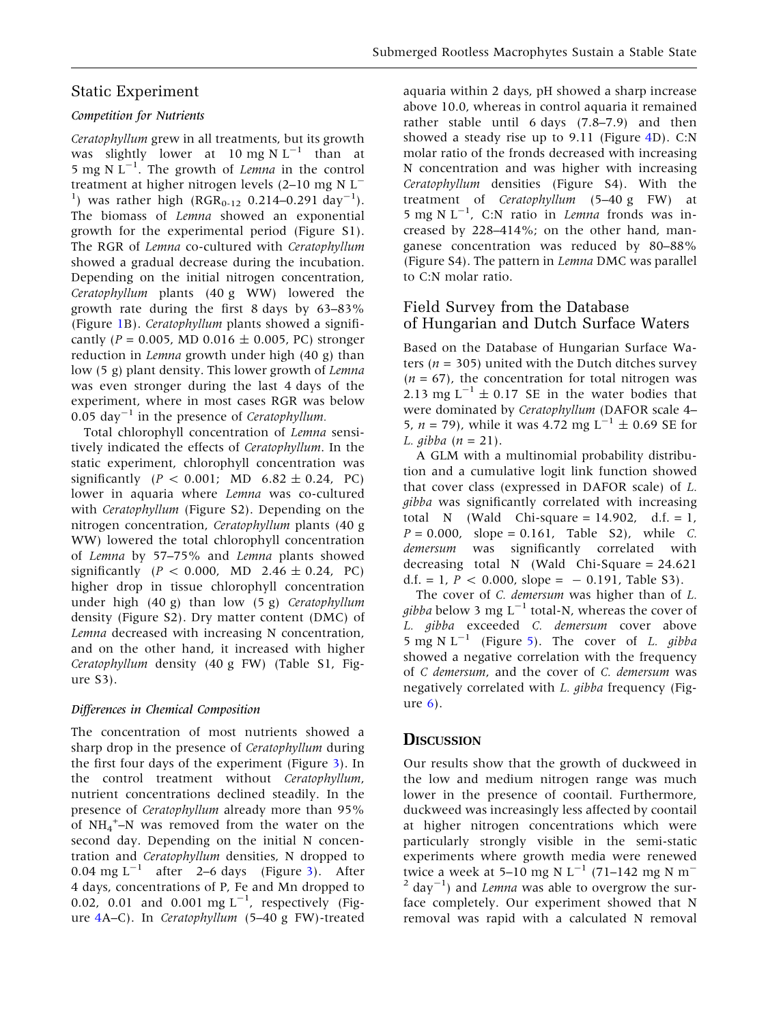## Static Experiment

#### Competition for Nutrients

Ceratophyllum grew in all treatments, but its growth was slightly lower at 10 mg N  $L^{-1}$  than at 5 mg N  $L^{-1}$ . The growth of *Lemna* in the control treatment at higher nitrogen levels (2-10 mg N L<sup>-</sup> <sup>1</sup>) was rather high (RGR<sub>0-12</sub> 0.214-0.291 day<sup>-1</sup>). The biomass of Lemna showed an exponential growth for the experimental period (Figure S1). The RGR of Lemna co-cultured with Ceratophyllum showed a gradual decrease during the incubation. Depending on the initial nitrogen concentration, Ceratophyllum plants (40 g WW) lowered the growth rate during the first 8 days by 63–83% (Figure [1B](#page-4-0)). Ceratophyllum plants showed a significantly ( $P = 0.005$ , MD 0.016  $\pm$  0.005, PC) stronger reduction in Lemna growth under high (40 g) than low (5 g) plant density. This lower growth of Lemna was even stronger during the last 4 days of the experiment, where in most cases RGR was below 0.05 day<sup>-1</sup> in the presence of *Ceratophyllum*.

Total chlorophyll concentration of Lemna sensitively indicated the effects of Ceratophyllum. In the static experiment, chlorophyll concentration was significantly ( $P < 0.001$ ; MD  $6.82 \pm 0.24$ , PC) lower in aquaria where Lemna was co-cultured with Ceratophyllum (Figure S2). Depending on the nitrogen concentration, Ceratophyllum plants (40 g WW) lowered the total chlorophyll concentration of Lemna by 57–75% and Lemna plants showed significantly ( $P < 0.000$ , MD 2.46  $\pm$  0.24, PC) higher drop in tissue chlorophyll concentration under high (40 g) than low (5 g) Ceratophyllum density (Figure S2). Dry matter content (DMC) of Lemna decreased with increasing N concentration, and on the other hand, it increased with higher Ceratophyllum density (40 g FW) (Table S1, Figure S3).

## Differences in Chemical Composition

The concentration of most nutrients showed a sharp drop in the presence of *Ceratophyllum* during the first four days of the experiment (Figure [3\)](#page-5-0). In the control treatment without Ceratophyllum, nutrient concentrations declined steadily. In the presence of Ceratophyllum already more than 95% of  $NH_4^+$ –N was removed from the water on the second day. Depending on the initial N concentration and Ceratophyllum densities, N dropped to 0.04 mg  $L^{-1}$  after 2–6 days (Figure [3](#page-5-0)). After 4 days, concentrations of P, Fe and Mn dropped to 0.02, 0.01 and 0.001 mg  $L^{-1}$ , respectively (Figure [4A](#page-7-0)–C). In Ceratophyllum (5–40 g FW)-treated

aquaria within 2 days, pH showed a sharp increase above 10.0, whereas in control aquaria it remained rather stable until 6 days (7.8–7.9) and then showed a steady rise up to 9.11 (Figure [4](#page-7-0)D). C:N molar ratio of the fronds decreased with increasing N concentration and was higher with increasing Ceratophyllum densities (Figure S4). With the treatment of Ceratophyllum (5–40 g FW) at 5 mg N  $L^{-1}$ , C:N ratio in *Lemna* fronds was increased by 228–414%; on the other hand, manganese concentration was reduced by 80–88% (Figure S4). The pattern in Lemna DMC was parallel to C:N molar ratio.

## Field Survey from the Database of Hungarian and Dutch Surface Waters

Based on the Database of Hungarian Surface Waters ( $n = 305$ ) united with the Dutch ditches survey  $(n = 67)$ , the concentration for total nitrogen was 2.13 mg  $L^{-1} \pm 0.17$  SE in the water bodies that were dominated by Ceratophyllum (DAFOR scale 4– 5,  $n = 79$ ), while it was 4.72 mg  $L^{-1} \pm 0.69$  SE for L. gibba  $(n = 21)$ .

A GLM with a multinomial probability distribution and a cumulative logit link function showed that cover class (expressed in DAFOR scale) of L. gibba was significantly correlated with increasing total N (Wald Chi-square =  $14.902$ , d.f. = 1,  $P = 0.000$ , slope = 0.161, Table S2), while C. demersum was significantly correlated with decreasing total N (Wald Chi-Square = 24.621 d.f. = 1,  $P < 0.000$ , slope = -0.191, Table S3).

The cover of C. demersum was higher than of L. *gibba* below 3 mg  $L^{-1}$  total-N, whereas the cover of L. gibba exceeded C. demersum cover above 5 mg N  $L^{-1}$  (Figure [5\)](#page-8-0). The cover of L. gibba showed a negative correlation with the frequency of C demersum, and the cover of C. demersum was negatively correlated with L. gibba frequency (Figure [6\)](#page-9-0).

## **DISCUSSION**

Our results show that the growth of duckweed in the low and medium nitrogen range was much lower in the presence of coontail. Furthermore, duckweed was increasingly less affected by coontail at higher nitrogen concentrations which were particularly strongly visible in the semi-static experiments where growth media were renewed twice a week at 5–10 mg N  $L^{-1}$  (71–142 mg N m<sup>-1</sup>)  $^{2}$  day<sup>-1</sup>) and *Lemna* was able to overgrow the surface completely. Our experiment showed that N removal was rapid with a calculated N removal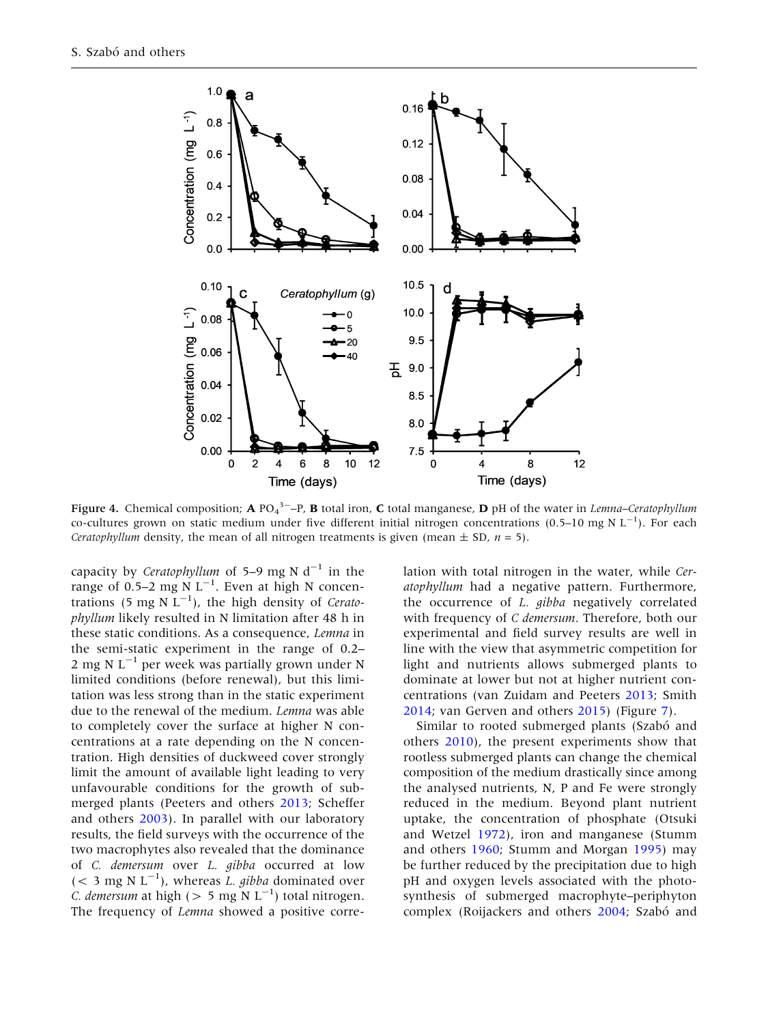<span id="page-7-0"></span>

Figure 4. Chemical composition; A PO<sub>4</sub><sup>3-</sup>-P, B total iron, C total manganese, D pH of the water in *Lemna–Ceratophyllum* co-cultures grown on static medium under five different initial nitrogen concentrations (0.5–10 mg N  $L^{-1}$ ). For each *Ceratophyllum* density, the mean of all nitrogen treatments is given (mean  $\pm$  SD,  $n = 5$ ).

capacity by Ceratophyllum of 5–9 mg N  $d^{-1}$  in the range of 0.5–2 mg N  $L^{-1}$ . Even at high N concentrations (5 mg N  $L^{-1}$ ), the high density of Ceratophyllum likely resulted in N limitation after 48 h in these static conditions. As a consequence, Lemna in the semi-static experiment in the range of 0.2– 2 mg N  $L^{-1}$  per week was partially grown under N limited conditions (before renewal), but this limitation was less strong than in the static experiment due to the renewal of the medium. Lemna was able to completely cover the surface at higher N concentrations at a rate depending on the N concentration. High densities of duckweed cover strongly limit the amount of available light leading to very unfavourable conditions for the growth of submerged plants (Peeters and others [2013;](#page-11-0) Scheffer and others [2003\)](#page-12-0). In parallel with our laboratory results, the field surveys with the occurrence of the two macrophytes also revealed that the dominance of C. demersum over L. gibba occurred at low (< 3 mg N  $L^{-1}$ ), whereas *L. gibba* dominated over *C. demersum* at high ( $> 5$  mg N L<sup>-1</sup>) total nitrogen. The frequency of *Lemna* showed a positive corre-

lation with total nitrogen in the water, while Ceratophyllum had a negative pattern. Furthermore, the occurrence of L. gibba negatively correlated with frequency of C demersum. Therefore, both our experimental and field survey results are well in line with the view that asymmetric competition for light and nutrients allows submerged plants to dominate at lower but not at higher nutrient concentrations (van Zuidam and Peeters [2013;](#page-12-0) Smith [2014;](#page-12-0) van Gerven and others [2015\)](#page-12-0) (Figure [7\)](#page-10-0).

Similar to rooted submerged plants (Szabó and others [2010](#page-12-0)), the present experiments show that rootless submerged plants can change the chemical composition of the medium drastically since among the analysed nutrients, N, P and Fe were strongly reduced in the medium. Beyond plant nutrient uptake, the concentration of phosphate (Otsuki and Wetzel [1972](#page-11-0)), iron and manganese (Stumm and others [1960](#page-12-0); Stumm and Morgan [1995\)](#page-12-0) may be further reduced by the precipitation due to high pH and oxygen levels associated with the photosynthesis of submerged macrophyte–periphyton complex (Roijackers and others [2004](#page-12-0); Szabó and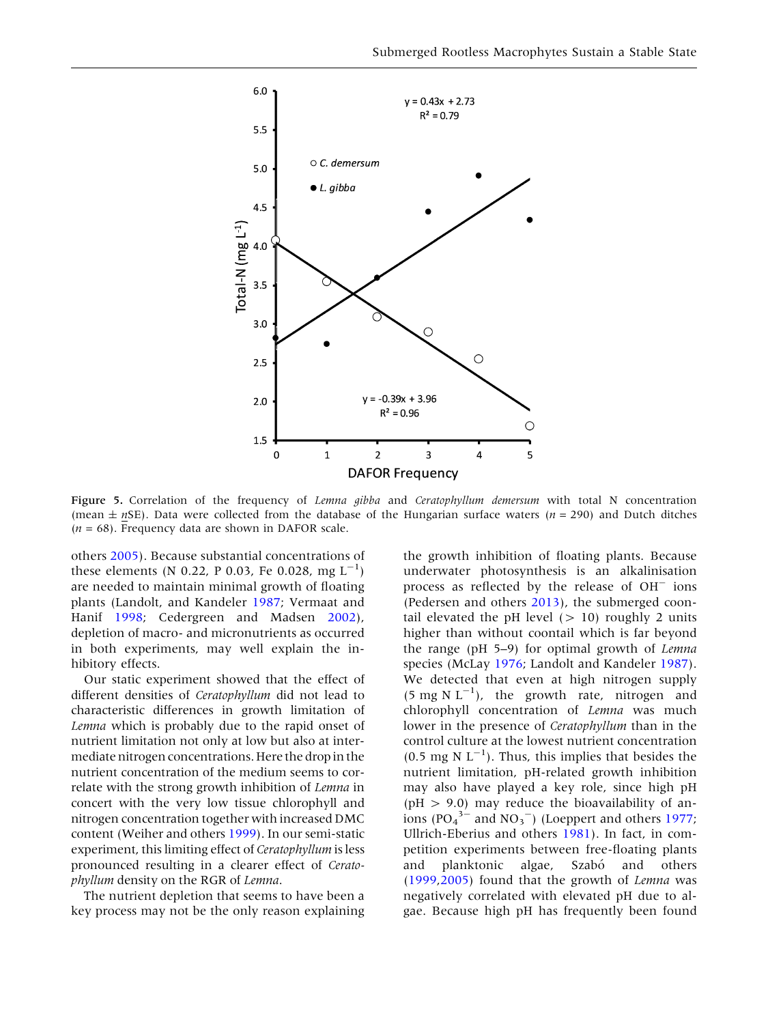<span id="page-8-0"></span>

Figure 5. Correlation of the frequency of Lemna gibba and Ceratophyllum demersum with total N concentration (mean  $\pm nSE$ ). Data were collected from the database of the Hungarian surface waters (n = 290) and Dutch ditches  $(n = 68)$ . Frequency data are shown in DAFOR scale.

others [2005](#page-12-0)). Because substantial concentrations of these elements (N 0.22, P 0.03, Fe 0.028, mg  $L^{-1}$ ) are needed to maintain minimal growth of floating plants (Landolt, and Kandeler [1987](#page-11-0); Vermaat and Hanif [1998;](#page-12-0) Cedergreen and Madsen [2002](#page-11-0)), depletion of macro- and micronutrients as occurred in both experiments, may well explain the inhibitory effects.

Our static experiment showed that the effect of different densities of Ceratophyllum did not lead to characteristic differences in growth limitation of Lemna which is probably due to the rapid onset of nutrient limitation not only at low but also at intermediate nitrogen concentrations. Here the drop in the nutrient concentration of the medium seems to correlate with the strong growth inhibition of Lemna in concert with the very low tissue chlorophyll and nitrogen concentration together with increased DMC content (Weiher and others [1999](#page-12-0)). In our semi-static experiment, this limiting effect of Ceratophyllum is less pronounced resulting in a clearer effect of Ceratophyllum density on the RGR of Lemna.

The nutrient depletion that seems to have been a key process may not be the only reason explaining

the growth inhibition of floating plants. Because underwater photosynthesis is an alkalinisation process as reflected by the release of  $OH^-$  ions (Pedersen and others [2013\)](#page-11-0), the submerged coontail elevated the pH level  $(> 10)$  roughly 2 units higher than without coontail which is far beyond the range (pH 5–9) for optimal growth of Lemna species (McLay [1976](#page-11-0); Landolt and Kandeler [1987](#page-11-0)). We detected that even at high nitrogen supply  $(5 \text{ mg N L}^{-1})$ , the growth rate, nitrogen and chlorophyll concentration of Lemna was much lower in the presence of Ceratophyllum than in the control culture at the lowest nutrient concentration  $(0.5 \text{ mg N L}^{-1})$ . Thus, this implies that besides the nutrient limitation, pH-related growth inhibition may also have played a key role, since high pH  $(pH > 9.0)$  may reduce the bioavailability of anions ( $PO<sub>4</sub><sup>3–</sup>$  and  $NO<sub>3</sub><sup>-</sup>$ ) (Loeppert and others [1977](#page-11-0); Ullrich-Eberius and others [1981](#page-12-0)). In fact, in competition experiments between free-floating plants and planktonic algae, Szabó and others ([1999,2005\)](#page-12-0) found that the growth of Lemna was negatively correlated with elevated pH due to algae. Because high pH has frequently been found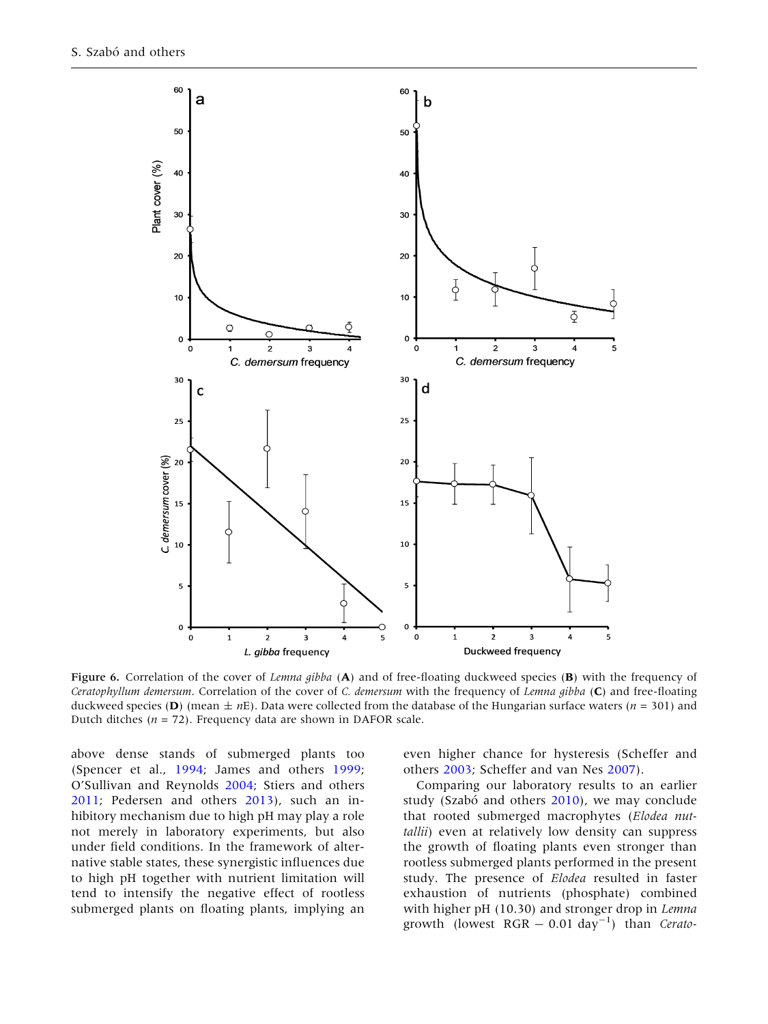<span id="page-9-0"></span>

Figure 6. Correlation of the cover of Lemna gibba (A) and of free-floating duckweed species (B) with the frequency of Ceratophyllum demersum. Correlation of the cover of C. demersum with the frequency of Lemna gibba  $(C)$  and free-floating duckweed species (D) (mean  $\pm nE$ ). Data were collected from the database of the Hungarian surface waters (n = 301) and Dutch ditches ( $n = 72$ ). Frequency data are shown in DAFOR scale.

above dense stands of submerged plants too (Spencer et al., [1994](#page-12-0); James and others [1999](#page-11-0); O'Sullivan and Reynolds [2004](#page-11-0); Stiers and others [2011;](#page-12-0) Pedersen and others [2013\)](#page-11-0), such an inhibitory mechanism due to high pH may play a role not merely in laboratory experiments, but also under field conditions. In the framework of alternative stable states, these synergistic influences due to high pH together with nutrient limitation will tend to intensify the negative effect of rootless submerged plants on floating plants, implying an

even higher chance for hysteresis (Scheffer and others [2003;](#page-12-0) Scheffer and van Nes [2007\)](#page-12-0).

Comparing our laboratory results to an earlier study (Szabó and others  $2010$ ), we may conclude that rooted submerged macrophytes (Elodea nuttallii) even at relatively low density can suppress the growth of floating plants even stronger than rootless submerged plants performed in the present study. The presence of Elodea resulted in faster exhaustion of nutrients (phosphate) combined with higher pH (10.30) and stronger drop in Lemna growth (lowest  $RGR - 0.01 \text{ day}^{-1}$ ) than Cerato-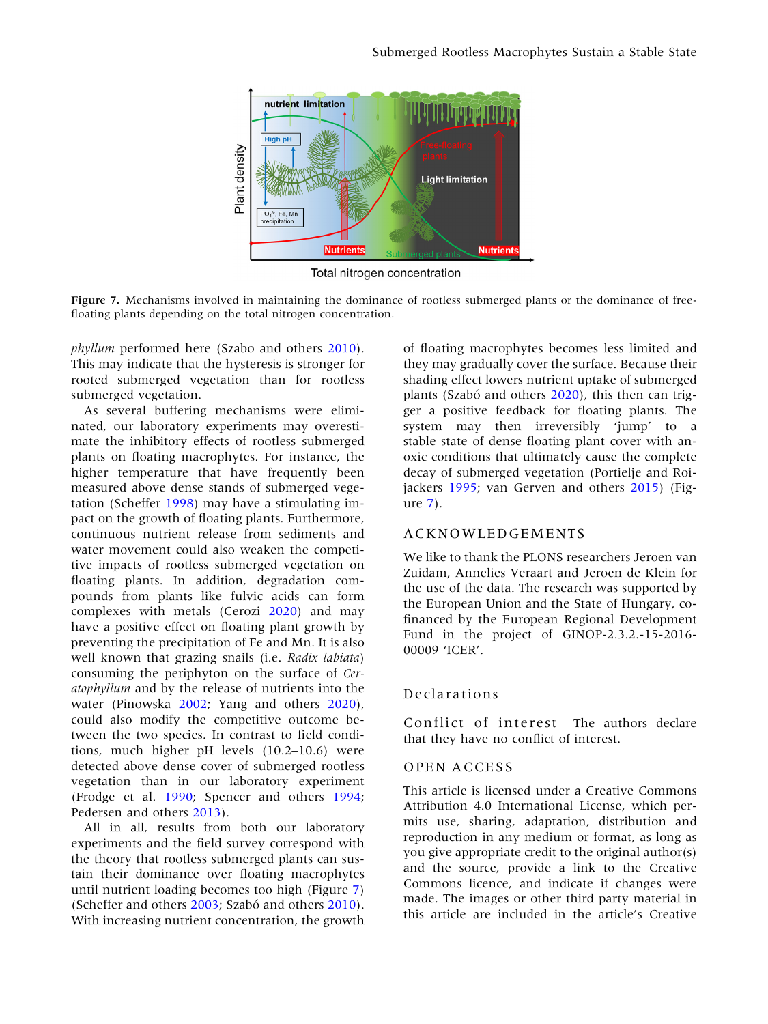<span id="page-10-0"></span>

Total nitrogen concentration

Figure 7. Mechanisms involved in maintaining the dominance of rootless submerged plants or the dominance of freefloating plants depending on the total nitrogen concentration.

phyllum performed here (Szabo and others [2010](#page-12-0)). This may indicate that the hysteresis is stronger for rooted submerged vegetation than for rootless submerged vegetation.

As several buffering mechanisms were eliminated, our laboratory experiments may overestimate the inhibitory effects of rootless submerged plants on floating macrophytes. For instance, the higher temperature that have frequently been measured above dense stands of submerged vegetation (Scheffer [1998\)](#page-12-0) may have a stimulating impact on the growth of floating plants. Furthermore, continuous nutrient release from sediments and water movement could also weaken the competitive impacts of rootless submerged vegetation on floating plants. In addition, degradation compounds from plants like fulvic acids can form complexes with metals (Cerozi [2020\)](#page-11-0) and may have a positive effect on floating plant growth by preventing the precipitation of Fe and Mn. It is also well known that grazing snails (i.e. Radix labiata) consuming the periphyton on the surface of Ceratophyllum and by the release of nutrients into the water (Pinowska [2002](#page-11-0); Yang and others [2020](#page-12-0)), could also modify the competitive outcome between the two species. In contrast to field conditions, much higher pH levels (10.2–10.6) were detected above dense cover of submerged rootless vegetation than in our laboratory experiment (Frodge et al. [1990](#page-11-0); Spencer and others [1994](#page-12-0); Pedersen and others [2013](#page-11-0)).

All in all, results from both our laboratory experiments and the field survey correspond with the theory that rootless submerged plants can sustain their dominance over floating macrophytes until nutrient loading becomes too high (Figure 7) (Scheffer and others [2003](#page-12-0); Szabó and others [2010](#page-12-0)). With increasing nutrient concentration, the growth

of floating macrophytes becomes less limited and they may gradually cover the surface. Because their shading effect lowers nutrient uptake of submerged plants (Szabó and others [2020\)](#page-12-0), this then can trigger a positive feedback for floating plants. The system may then irreversibly 'jump' to a stable state of dense floating plant cover with anoxic conditions that ultimately cause the complete decay of submerged vegetation (Portielje and Roijackers [1995;](#page-12-0) van Gerven and others [2015\)](#page-12-0) (Figure 7).

## ACKNOWLEDGEMENTS

We like to thank the PLONS researchers Jeroen van Zuidam, Annelies Veraart and Jeroen de Klein for the use of the data. The research was supported by the European Union and the State of Hungary, cofinanced by the European Regional Development Fund in the project of GINOP-2.3.2.-15-2016- 00009 'ICER'.

#### Declarations

Conflict of interest The authors declare that they have no conflict of interest.

#### OPEN ACCESS

This article is licensed under a Creative Commons Attribution 4.0 International License, which permits use, sharing, adaptation, distribution and reproduction in any medium or format, as long as you give appropriate credit to the original author(s) and the source, provide a link to the Creative Commons licence, and indicate if changes were made. The images or other third party material in this article are included in the article's Creative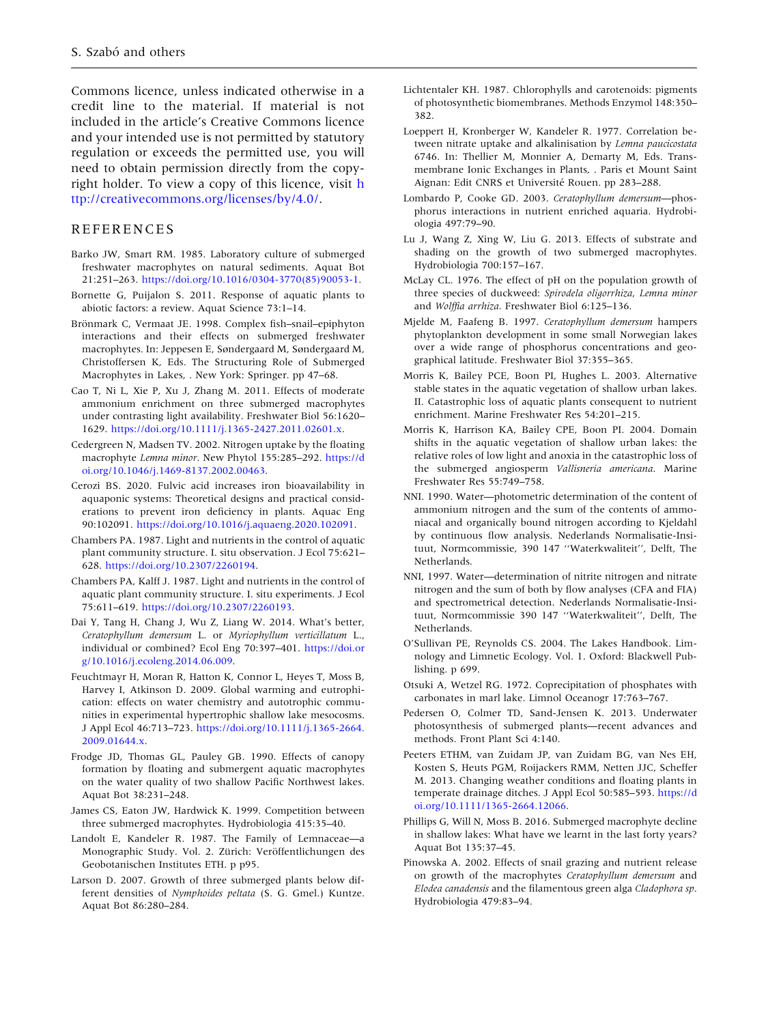<span id="page-11-0"></span>Commons licence, unless indicated otherwise in a credit line to the material. If material is not included in the article's Creative Commons licence and your intended use is not permitted by statutory regulation or exceeds the permitted use, you will need to obtain permission directly from the copyright holder. To view a copy of this licence, visit [h](http://creativecommons.org/licenses/by/4.0/) [ttp://creativecommons.org/licenses/by/4.0/.](http://creativecommons.org/licenses/by/4.0/)

#### REFERENCES

- Barko JW, Smart RM. 1985. Laboratory culture of submerged freshwater macrophytes on natural sediments. Aquat Bot 21:251–263. [https://doi.org/10.1016/0304-3770\(85\)90053-1](https://doi.org/10.1016/0304-3770(85)90053-1).
- Bornette G, Puijalon S. 2011. Response of aquatic plants to abiotic factors: a review. Aquat Science 73:1–14.
- Brönmark C, Vermaat JE. 1998. Complex fish–snail–epiphyton interactions and their effects on submerged freshwater macrophytes. In: Jeppesen E, Søndergaard M, Søndergaard M, Christoffersen K, Eds. The Structuring Role of Submerged Macrophytes in Lakes, . New York: Springer. pp 47–68.
- Cao T, Ni L, Xie P, Xu J, Zhang M. 2011. Effects of moderate ammonium enrichment on three submerged macrophytes under contrasting light availability. Freshwater Biol 56:1620– 1629. <https://doi.org/10.1111/j.1365-2427.2011.02601.x>.
- Cedergreen N, Madsen TV. 2002. Nitrogen uptake by the floating macrophyte Lemna minor. New Phytol 155:285–292. [https://d](https://doi.org/10.1046/j.1469-8137.2002.00463) [oi.org/10.1046/j.1469-8137.2002.00463.](https://doi.org/10.1046/j.1469-8137.2002.00463)
- Cerozi BS. 2020. Fulvic acid increases iron bioavailability in aquaponic systems: Theoretical designs and practical considerations to prevent iron deficiency in plants. Aquac Eng 90:102091. [https://doi.org/10.1016/j.aquaeng.2020.102091.](https://doi.org/10.1016/j.aquaeng.2020.102091)
- Chambers PA. 1987. Light and nutrients in the control of aquatic plant community structure. I. situ observation. J Ecol 75:621– 628. [https://doi.org/10.2307/2260194.](https://doi.org/10.2307/2260194)
- Chambers PA, Kalff J. 1987. Light and nutrients in the control of aquatic plant community structure. I. situ experiments. J Ecol 75:611–619. [https://doi.org/10.2307/2260193.](https://doi.org/10.2307/2260193)
- Dai Y, Tang H, Chang J, Wu Z, Liang W. 2014. What's better, Ceratophyllum demersum L. or Myriophyllum verticillatum L., individual or combined? Ecol Eng 70:397–401. [https://doi.or](https://doi.org/10.1016/j.ecoleng.2014.06.009) [g/10.1016/j.ecoleng.2014.06.009.](https://doi.org/10.1016/j.ecoleng.2014.06.009)
- Feuchtmayr H, Moran R, Hatton K, Connor L, Heyes T, Moss B, Harvey I, Atkinson D. 2009. Global warming and eutrophication: effects on water chemistry and autotrophic communities in experimental hypertrophic shallow lake mesocosms. J Appl Ecol 46:713–723. [https://doi.org/10.1111/j.1365-2664.](https://doi.org/10.1111/j.1365-2664.2009.01644.x) [2009.01644.x.](https://doi.org/10.1111/j.1365-2664.2009.01644.x)
- Frodge JD, Thomas GL, Pauley GB. 1990. Effects of canopy formation by floating and submergent aquatic macrophytes on the water quality of two shallow Pacific Northwest lakes. Aquat Bot 38:231–248.
- James CS, Eaton JW, Hardwick K. 1999. Competition between three submerged macrophytes. Hydrobiologia 415:35–40.
- Landolt E, Kandeler R. 1987. The Family of Lemnaceae—a Monographic Study. Vol. 2. Zürich: Veröffentlichungen des Geobotanischen Institutes ETH. p p95.
- Larson D. 2007. Growth of three submerged plants below different densities of Nymphoides peltata (S. G. Gmel.) Kuntze. Aquat Bot 86:280–284.
- Lichtentaler KH. 1987. Chlorophylls and carotenoids: pigments of photosynthetic biomembranes. Methods Enzymol 148:350– 382.
- Loeppert H, Kronberger W, Kandeler R. 1977. Correlation between nitrate uptake and alkalinisation by Lemna paucicostata 6746. In: Thellier M, Monnier A, Demarty M, Eds. Transmembrane Ionic Exchanges in Plants, . Paris et Mount Saint Aignan: Edit CNRS et Université Rouen. pp 283-288.
- Lombardo P, Cooke GD. 2003. Ceratophyllum demersum—phosphorus interactions in nutrient enriched aquaria. Hydrobiologia 497:79–90.
- Lu J, Wang Z, Xing W, Liu G. 2013. Effects of substrate and shading on the growth of two submerged macrophytes. Hydrobiologia 700:157–167.
- McLay CL. 1976. The effect of pH on the population growth of three species of duckweed: Spirodela oligorrhiza, Lemna minor and Wolffia arrhiza. Freshwater Biol 6:125-136.
- Mjelde M, Faafeng B. 1997. Ceratophyllum demersum hampers phytoplankton development in some small Norwegian lakes over a wide range of phosphorus concentrations and geographical latitude. Freshwater Biol 37:355–365.
- Morris K, Bailey PCE, Boon PI, Hughes L. 2003. Alternative stable states in the aquatic vegetation of shallow urban lakes. II. Catastrophic loss of aquatic plants consequent to nutrient enrichment. Marine Freshwater Res 54:201–215.
- Morris K, Harrison KA, Bailey CPE, Boon PI. 2004. Domain shifts in the aquatic vegetation of shallow urban lakes: the relative roles of low light and anoxia in the catastrophic loss of the submerged angiosperm Vallisneria americana. Marine Freshwater Res 55:749–758.
- NNI. 1990. Water—photometric determination of the content of ammonium nitrogen and the sum of the contents of ammoniacal and organically bound nitrogen according to Kjeldahl by continuous flow analysis. Nederlands Normalisatie-Insituut, Normcommissie, 390 147 ''Waterkwaliteit'', Delft, The Netherlands.
- NNI, 1997. Water—determination of nitrite nitrogen and nitrate nitrogen and the sum of both by flow analyses (CFA and FIA) and spectrometrical detection. Nederlands Normalisatie-Insituut, Normcommissie 390 147 ''Waterkwaliteit'', Delft, The Netherlands.
- O'Sullivan PE, Reynolds CS. 2004. The Lakes Handbook. Limnology and Limnetic Ecology. Vol. 1. Oxford: Blackwell Publishing. p 699.
- Otsuki A, Wetzel RG. 1972. Coprecipitation of phosphates with carbonates in marl lake. Limnol Oceanogr 17:763–767.
- Pedersen O, Colmer TD, Sand-Jensen K. 2013. Underwater photosynthesis of submerged plants—recent advances and methods. Front Plant Sci 4:140.
- Peeters ETHM, van Zuidam JP, van Zuidam BG, van Nes EH, Kosten S, Heuts PGM, Roijackers RMM, Netten JJC, Scheffer M. 2013. Changing weather conditions and floating plants in temperate drainage ditches. J Appl Ecol 50:585–593. [https://d](https://doi.org/10.1111/1365-2664.12066) [oi.org/10.1111/1365-2664.12066.](https://doi.org/10.1111/1365-2664.12066)
- Phillips G, Will N, Moss B. 2016. Submerged macrophyte decline in shallow lakes: What have we learnt in the last forty years? Aquat Bot 135:37–45.
- Pinowska A. 2002. Effects of snail grazing and nutrient release on growth of the macrophytes Ceratophyllum demersum and Elodea canadensis and the filamentous green alga Cladophora sp. Hydrobiologia 479:83–94.